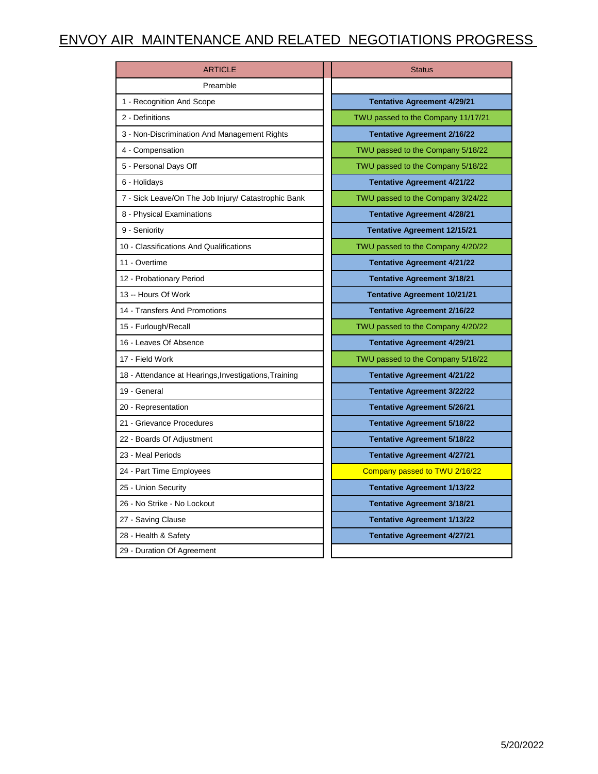## ENVOY AIR MAINTENANCE AND RELATED NEGOTIATIONS PROGRESS

| <b>ARTICLE</b>                                        | <b>Status</b>                       |
|-------------------------------------------------------|-------------------------------------|
| Preamble                                              |                                     |
| 1 - Recognition And Scope                             | <b>Tentative Agreement 4/29/21</b>  |
| 2 - Definitions                                       | TWU passed to the Company 11/17/21  |
| 3 - Non-Discrimination And Management Rights          | <b>Tentative Agreement 2/16/22</b>  |
| 4 - Compensation                                      | TWU passed to the Company 5/18/22   |
| 5 - Personal Days Off                                 | TWU passed to the Company 5/18/22   |
| 6 - Holidays                                          | <b>Tentative Agreement 4/21/22</b>  |
| 7 - Sick Leave/On The Job Injury/ Catastrophic Bank   | TWU passed to the Company 3/24/22   |
| 8 - Physical Examinations                             | <b>Tentative Agreement 4/28/21</b>  |
| 9 - Seniority                                         | <b>Tentative Agreement 12/15/21</b> |
| 10 - Classifications And Qualifications               | TWU passed to the Company 4/20/22   |
| 11 - Overtime                                         | <b>Tentative Agreement 4/21/22</b>  |
| 12 - Probationary Period                              | <b>Tentative Agreement 3/18/21</b>  |
| 13 -- Hours Of Work                                   | <b>Tentative Agreement 10/21/21</b> |
| 14 - Transfers And Promotions                         | <b>Tentative Agreement 2/16/22</b>  |
| 15 - Furlough/Recall                                  | TWU passed to the Company 4/20/22   |
| 16 - Leaves Of Absence                                | <b>Tentative Agreement 4/29/21</b>  |
| 17 - Field Work                                       | TWU passed to the Company 5/18/22   |
| 18 - Attendance at Hearings, Investigations, Training | <b>Tentative Agreement 4/21/22</b>  |
| 19 - General                                          | <b>Tentative Agreement 3/22/22</b>  |
| 20 - Representation                                   | <b>Tentative Agreement 5/26/21</b>  |
| 21 - Grievance Procedures                             | <b>Tentative Agreement 5/18/22</b>  |
| 22 - Boards Of Adjustment                             | <b>Tentative Agreement 5/18/22</b>  |
| 23 - Meal Periods                                     | <b>Tentative Agreement 4/27/21</b>  |
| 24 - Part Time Employees                              | Company passed to TWU 2/16/22       |
| 25 - Union Security                                   | <b>Tentative Agreement 1/13/22</b>  |
| 26 - No Strike - No Lockout                           | <b>Tentative Agreement 3/18/21</b>  |
| 27 - Saving Clause                                    | <b>Tentative Agreement 1/13/22</b>  |
| 28 - Health & Safety                                  | <b>Tentative Agreement 4/27/21</b>  |
| 29 - Duration Of Agreement                            |                                     |